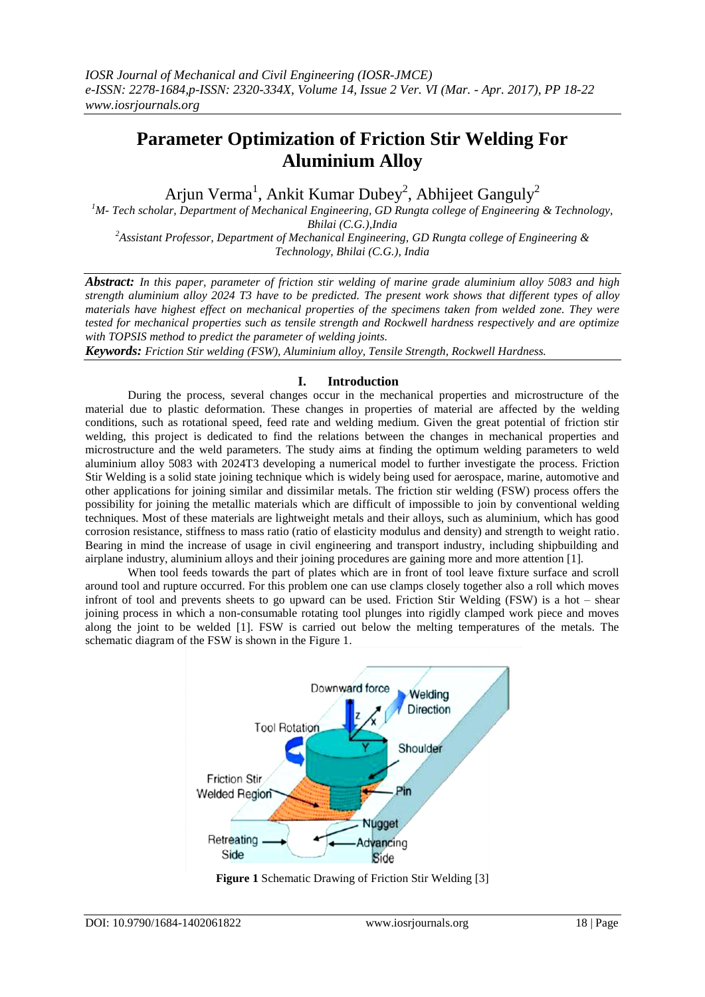# **Parameter Optimization of Friction Stir Welding For Aluminium Alloy**

Arjun Verma<sup>1</sup>, Ankit Kumar Dubey<sup>2</sup>, Abhijeet Ganguly<sup>2</sup>

*<sup>1</sup>M- Tech scholar, Department of Mechanical Engineering, GD Rungta college of Engineering & Technology, Bhilai (C.G.),India*

*<sup>2</sup>Assistant Professor, Department of Mechanical Engineering, GD Rungta college of Engineering & Technology, Bhilai (C.G.), India*

*Abstract: In this paper, parameter of friction stir welding of marine grade aluminium alloy 5083 and high strength aluminium alloy 2024 T3 have to be predicted. The present work shows that different types of alloy materials have highest effect on mechanical properties of the specimens taken from welded zone. They were tested for mechanical properties such as tensile strength and Rockwell hardness respectively and are optimize with TOPSIS method to predict the parameter of welding joints.* 

*Keywords: Friction Stir welding (FSW), Aluminium alloy, Tensile Strength, Rockwell Hardness.*

## **I. Introduction**

During the process, several changes occur in the mechanical properties and microstructure of the material due to plastic deformation. These changes in properties of material are affected by the welding conditions, such as rotational speed, feed rate and welding medium. Given the great potential of friction stir welding, this project is dedicated to find the relations between the changes in mechanical properties and microstructure and the weld parameters. The study aims at finding the optimum welding parameters to weld aluminium alloy 5083 with 2024T3 developing a numerical model to further investigate the process. Friction Stir Welding is a solid state joining technique which is widely being used for aerospace, marine, automotive and other applications for joining similar and dissimilar metals. The friction stir welding (FSW) process offers the possibility for joining the metallic materials which are difficult of impossible to join by conventional welding techniques. Most of these materials are lightweight metals and their alloys, such as aluminium, which has good corrosion resistance, stiffness to mass ratio (ratio of elasticity modulus and density) and strength to weight ratio. Bearing in mind the increase of usage in civil engineering and transport industry, including shipbuilding and airplane industry, aluminium alloys and their joining procedures are gaining more and more attention [1].

When tool feeds towards the part of plates which are in front of tool leave fixture surface and scroll around tool and rupture occurred. For this problem one can use clamps closely together also a roll which moves infront of tool and prevents sheets to go upward can be used. Friction Stir Welding (FSW) is a hot – shear joining process in which a non-consumable rotating tool plunges into rigidly clamped work piece and moves along the joint to be welded [1]. FSW is carried out below the melting temperatures of the metals. The schematic diagram of the FSW is shown in the Figure 1.



**Figure 1** Schematic Drawing of Friction Stir Welding [3]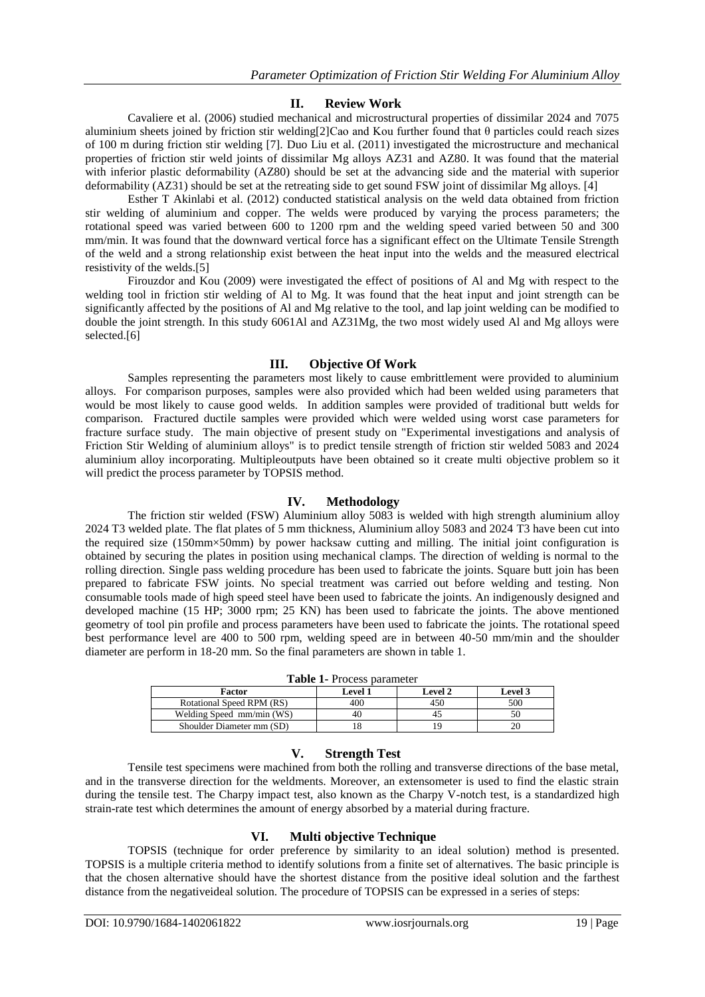## **II. Review Work**

Cavaliere et al. (2006) studied mechanical and microstructural properties of dissimilar 2024 and 7075 aluminium sheets joined by friction stir welding[2]Cao and Kou further found that θ particles could reach sizes of 100 m during friction stir welding [7]. Duo Liu et al. (2011) investigated the microstructure and mechanical properties of friction stir weld joints of dissimilar Mg alloys AZ31 and AZ80. It was found that the material with inferior plastic deformability (AZ80) should be set at the advancing side and the material with superior deformability (AZ31) should be set at the retreating side to get sound FSW joint of dissimilar Mg alloys. [4]

Esther T Akinlabi et al. (2012) conducted statistical analysis on the weld data obtained from friction stir welding of aluminium and copper. The welds were produced by varying the process parameters; the rotational speed was varied between 600 to 1200 rpm and the welding speed varied between 50 and 300 mm/min. It was found that the downward vertical force has a significant effect on the Ultimate Tensile Strength of the weld and a strong relationship exist between the heat input into the welds and the measured electrical resistivity of the welds.[5]

Firouzdor and Kou (2009) were investigated the effect of positions of Al and Mg with respect to the welding tool in friction stir welding of Al to Mg. It was found that the heat input and joint strength can be significantly affected by the positions of Al and Mg relative to the tool, and lap joint welding can be modified to double the joint strength. In this study 6061Al and AZ31Mg, the two most widely used Al and Mg alloys were selected.[6]

#### **III. Objective Of Work**

Samples representing the parameters most likely to cause embrittlement were provided to aluminium alloys. For comparison purposes, samples were also provided which had been welded using parameters that would be most likely to cause good welds. In addition samples were provided of traditional butt welds for comparison. Fractured ductile samples were provided which were welded using worst case parameters for fracture surface study. The main objective of present study on "Experimental investigations and analysis of Friction Stir Welding of aluminium alloys" is to predict tensile strength of friction stir welded 5083 and 2024 aluminium alloy incorporating. Multipleoutputs have been obtained so it create multi objective problem so it will predict the process parameter by TOPSIS method.

#### **IV. Methodology**

The friction stir welded (FSW) Aluminium alloy 5083 is welded with high strength aluminium alloy 2024 T3 welded plate. The flat plates of 5 mm thickness, Aluminium alloy 5083 and 2024 T3 have been cut into the required size (150mm×50mm) by power hacksaw cutting and milling. The initial joint configuration is obtained by securing the plates in position using mechanical clamps. The direction of welding is normal to the rolling direction. Single pass welding procedure has been used to fabricate the joints. Square butt join has been prepared to fabricate FSW joints. No special treatment was carried out before welding and testing. Non consumable tools made of high speed steel have been used to fabricate the joints. An indigenously designed and developed machine (15 HP; 3000 rpm; 25 KN) has been used to fabricate the joints. The above mentioned geometry of tool pin profile and process parameters have been used to fabricate the joints. The rotational speed best performance level are 400 to 500 rpm, welding speed are in between 40-50 mm/min and the shoulder diameter are perform in 18-20 mm. So the final parameters are shown in table 1.

| <b>Table 1-</b> Process parameter |         |                |         |  |  |  |  |
|-----------------------------------|---------|----------------|---------|--|--|--|--|
| Factor                            | Level 1 | <b>Level 2</b> | Level 3 |  |  |  |  |
| Rotational Speed RPM (RS)         | 400     | 450            | 500     |  |  |  |  |
| Welding Speed mm/min (WS)         | 4C      |                |         |  |  |  |  |
| Shoulder Diameter mm (SD)         |         |                |         |  |  |  |  |

**Table 1-** Process parameter

#### **V. Strength Test**

Tensile test specimens were machined from both the rolling and transverse directions of the base metal, and in the transverse direction for the weldments. Moreover, an extensometer is used to find the elastic strain during the tensile test. The Charpy impact test, also known as the Charpy V-notch test, is a standardized high strain-rate test which determines the amount of energy absorbed by a material during fracture.

#### **VI. Multi objective Technique**

TOPSIS (technique for order preference by similarity to an ideal solution) method is presented. TOPSIS is a multiple criteria method to identify solutions from a finite set of alternatives. The basic principle is that the chosen alternative should have the shortest distance from the positive ideal solution and the farthest distance from the negativeideal solution. The procedure of TOPSIS can be expressed in a series of steps: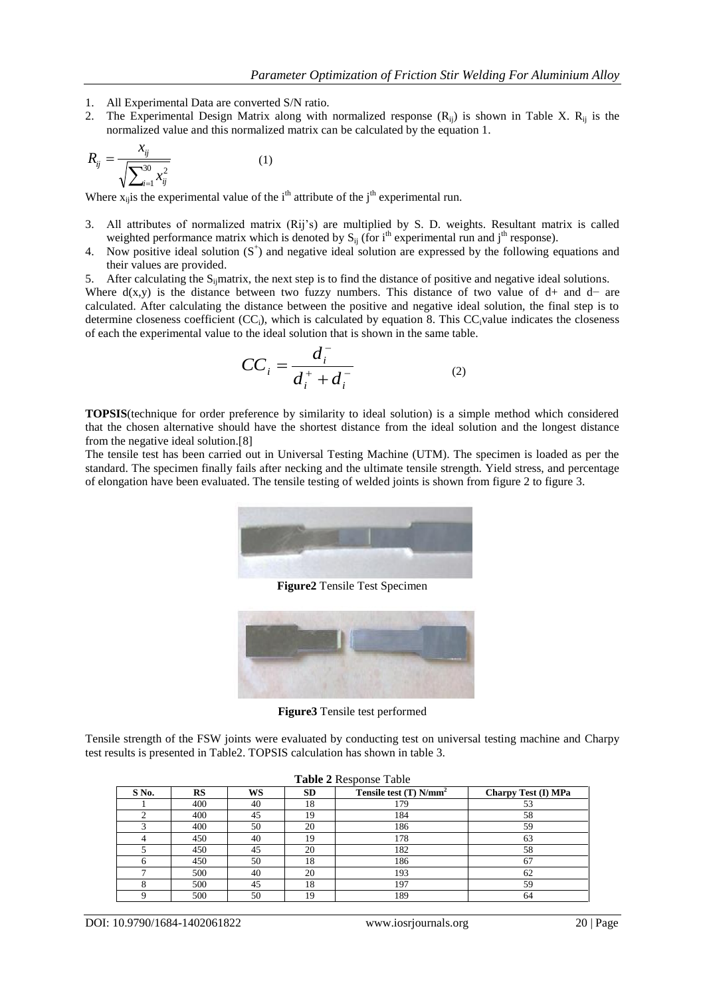- 1. All Experimental Data are converted S/N ratio.
- 2. The Experimental Design Matrix along with normalized response  $(R_{ij})$  is shown in Table X.  $R_{ij}$  is the normalized value and this normalized matrix can be calculated by the equation 1.

$$
R_{ij} = \frac{x_{ij}}{\sqrt{\sum_{i=1}^{30} x_{ij}^2}}
$$
 (1)

Where  $x_{ij}$  is the experimental value of the i<sup>th</sup> attribute of the j<sup>th</sup> experimental run.

- 3. All attributes of normalized matrix (Rij's) are multiplied by S. D. weights. Resultant matrix is called weighted performance matrix which is denoted by  $S_{ii}$  (for i<sup>th</sup> experimental run and j<sup>th</sup> response).
- 4. Now positive ideal solution  $(S^+)$  and negative ideal solution are expressed by the following equations and their values are provided.
- 5. After calculating the  $S_i$  matrix, the next step is to find the distance of positive and negative ideal solutions.

Where  $d(x,y)$  is the distance between two fuzzy numbers. This distance of two value of d+ and d− are calculated. After calculating the distance between the positive and negative ideal solution, the final step is to determine closeness coefficient  $(CC<sub>i</sub>)$ , which is calculated by equation 8. This  $CC<sub>i</sub>$  value indicates the closeness of each the experimental value to the ideal solution that is shown in the same table.

$$
CC_i = \frac{d_i^-}{d_i^+ + d_i^-}
$$
 (2)

**TOPSIS**(technique for order preference by similarity to ideal solution) is a simple method which considered that the chosen alternative should have the shortest distance from the ideal solution and the longest distance from the negative ideal solution.[8]

The tensile test has been carried out in Universal Testing Machine (UTM). The specimen is loaded as per the standard. The specimen finally fails after necking and the ultimate tensile strength. Yield stress, and percentage of elongation have been evaluated. The tensile testing of welded joints is shown from figure 2 to figure 3.



**Figure2** Tensile Test Specimen



**Figure3** Tensile test performed

Tensile strength of the FSW joints were evaluated by conducting test on universal testing machine and Charpy test results is presented in Table2. TOPSIS calculation has shown in table 3.

| <b>Table 2 Response Table</b> |     |    |    |                                      |                     |  |  |
|-------------------------------|-----|----|----|--------------------------------------|---------------------|--|--|
| $S$ No.                       | RS  | WS | SD | Tensile test $(T)$ N/mm <sup>2</sup> | Charpy Test (I) MPa |  |  |
|                               | 400 | 40 | 18 | 179                                  | 53                  |  |  |
|                               | 400 | 45 | 19 | 184                                  | 58                  |  |  |
|                               | 400 | 50 | 20 | 186                                  | 59                  |  |  |
|                               | 450 | 40 | 19 | 178                                  | 63                  |  |  |
|                               | 450 | 45 | 20 | 182                                  | 58                  |  |  |
| h                             | 450 | 50 | 18 | 186                                  | 67                  |  |  |
|                               | 500 | 40 | 20 | 193                                  | 62                  |  |  |
|                               | 500 | 45 | 18 | 197                                  | 59                  |  |  |
|                               | 500 | 50 | 19 | 189                                  | 64                  |  |  |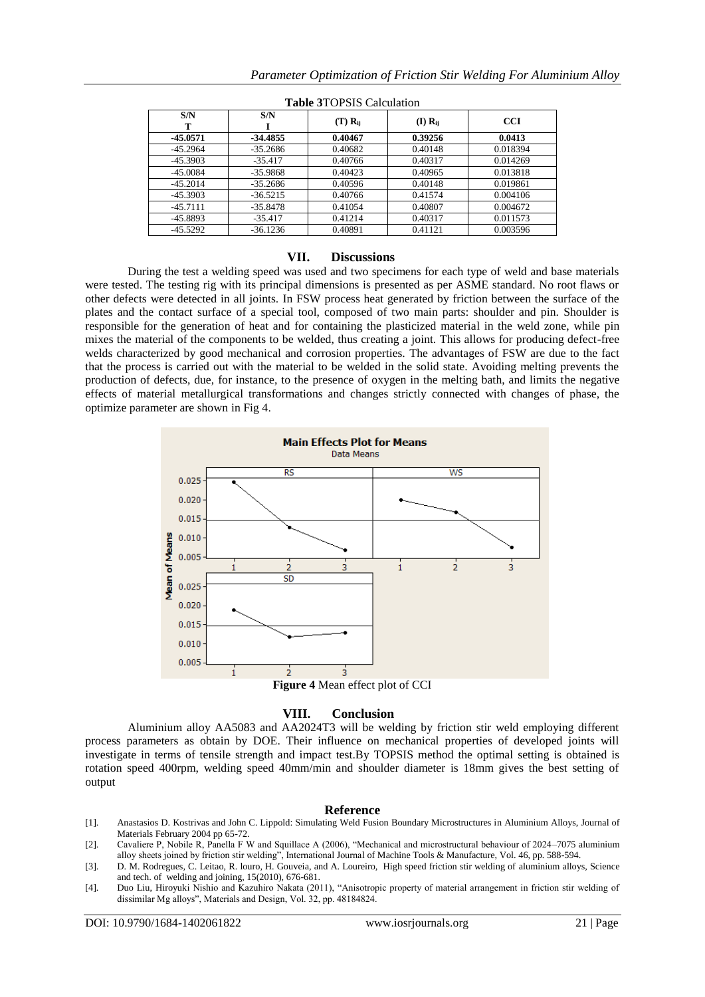| S/N        | S/N        | $(T)$ $\bf R_{ii}$ | $(I)$ $R_{ii}$ | <b>CCI</b> |
|------------|------------|--------------------|----------------|------------|
| -45.0571   | -34.4855   | 0.40467            | 0.39256        | 0.0413     |
| $-45.2964$ | $-35.2686$ | 0.40682            | 0.40148        | 0.018394   |
| $-45.3903$ | $-35.417$  | 0.40766            | 0.40317        | 0.014269   |
| $-45.0084$ | $-35.9868$ | 0.40423            | 0.40965        | 0.013818   |
| $-45.2014$ | $-35.2686$ | 0.40596            | 0.40148        | 0.019861   |
| $-45.3903$ | $-36.5215$ | 0.40766            | 0.41574        | 0.004106   |
| $-45.7111$ | $-35.8478$ | 0.41054            | 0.40807        | 0.004672   |
| $-45.8893$ | $-35.417$  | 0.41214            | 0.40317        | 0.011573   |
| $-45.5292$ | $-36.1236$ | 0.40891            | 0.41121        | 0.003596   |

**Table 3**TOPSIS Calculation

#### **VII. Discussions**

During the test a welding speed was used and two specimens for each type of weld and base materials were tested. The testing rig with its principal dimensions is presented as per ASME standard. No root flaws or other defects were detected in all joints. In FSW process heat generated by friction between the surface of the plates and the contact surface of a special tool, composed of two main parts: shoulder and pin. Shoulder is responsible for the generation of heat and for containing the plasticized material in the weld zone, while pin mixes the material of the components to be welded, thus creating a joint. This allows for producing defect-free welds characterized by good mechanical and corrosion properties. The advantages of FSW are due to the fact that the process is carried out with the material to be welded in the solid state. Avoiding melting prevents the production of defects, due, for instance, to the presence of oxygen in the melting bath, and limits the negative effects of material metallurgical transformations and changes strictly connected with changes of phase, the optimize parameter are shown in Fig 4.



## **VIII. Conclusion**

Aluminium alloy AA5083 and AA2024T3 will be welding by friction stir weld employing different process parameters as obtain by DOE. Their influence on mechanical properties of developed joints will investigate in terms of tensile strength and impact test.By TOPSIS method the optimal setting is obtained is rotation speed 400rpm, welding speed 40mm/min and shoulder diameter is 18mm gives the best setting of output

## **Reference**

- [1]. Anastasios D. Kostrivas and John C. Lippold: Simulating Weld Fusion Boundary Microstructures in Aluminium Alloys, Journal of Materials February 2004 pp 65-72.
- [2]. Cavaliere P, Nobile R, Panella F W and Squillace A (2006), "Mechanical and microstructural behaviour of 2024–7075 aluminium alloy sheets joined by friction stir welding", International Journal of Machine Tools & Manufacture, Vol. 46, pp. 588-594.
- [3]. D. M. Rodregues, C. Leitao, R. louro, H. Gouveia, and A. Loureiro, High speed friction stir welding of aluminium alloys, Science and tech. of welding and joining, 15(2010), 676-681.
- [4]. Duo Liu, Hiroyuki Nishio and Kazuhiro Nakata (2011), "Anisotropic property of material arrangement in friction stir welding of dissimilar Mg alloys", Materials and Design, Vol. 32, pp. 48184824.